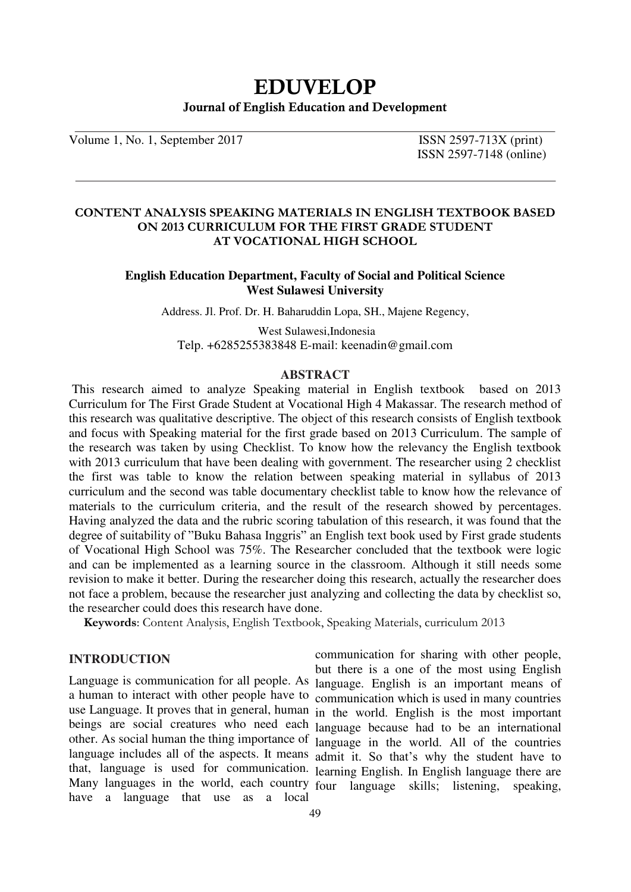# **EDUVELOP Journal of English Education and Development**

Volume 1, No. 1, September 2017 **ISSN 2597-713X** (print)

ISSN 2597-7148 (online)

### **CONTENT ANALYSIS SPEAKING MATERIALS IN ENGLISH TEXTBOOK BASED ON 2013 CURRICULUM FOR THE FIRST GRADE STUDENT AT VOCATIONAL HIGH SCHOOL**

## **English Education Department, Faculty of Social and Political Science West Sulawesi University**

Address. Jl. Prof. Dr. H. Baharuddin Lopa, SH., Majene Regency,

 West Sulawesi,Indonesia Telp. +6285255383848 E-mail: keenadin@gmail.com

### **ABSTRACT**

This research aimed to analyze Speaking material in English textbook based on 2013 Curriculum for The First Grade Student at Vocational High 4 Makassar. The research method of this research was qualitative descriptive. The object of this research consists of English textbook and focus with Speaking material for the first grade based on 2013 Curriculum. The sample of the research was taken by using Checklist. To know how the relevancy the English textbook with 2013 curriculum that have been dealing with government. The researcher using 2 checklist the first was table to know the relation between speaking material in syllabus of 2013 curriculum and the second was table documentary checklist table to know how the relevance of materials to the curriculum criteria, and the result of the research showed by percentages. Having analyzed the data and the rubric scoring tabulation of this research, it was found that the degree of suitability of "Buku Bahasa Inggris" an English text book used by First grade students of Vocational High School was 75%. The Researcher concluded that the textbook were logic and can be implemented as a learning source in the classroom. Although it still needs some revision to make it better. During the researcher doing this research, actually the researcher does not face a problem, because the researcher just analyzing and collecting the data by checklist so, the researcher could does this research have done.

**Keywords**: Content Analysis, English Textbook, Speaking Materials, curriculum 2013

### **INTRODUCTION**

a human to interact with other people have to have a language that use as a local

Language is communication for all people. As language. English is an important means of use Language. It proves that in general, human in the world. English is the most important beings are social creatures who need each language because had to be an international other. As social human the thing importance of language in the world. All of the countries language includes all of the aspects. It means admit it. So that's why the student have to that, language is used for communication. learning English. In English language there are Many languages in the world, each country four language skills; listening, speaking, communication for sharing with other people, but there is a one of the most using English communication which is used in many countries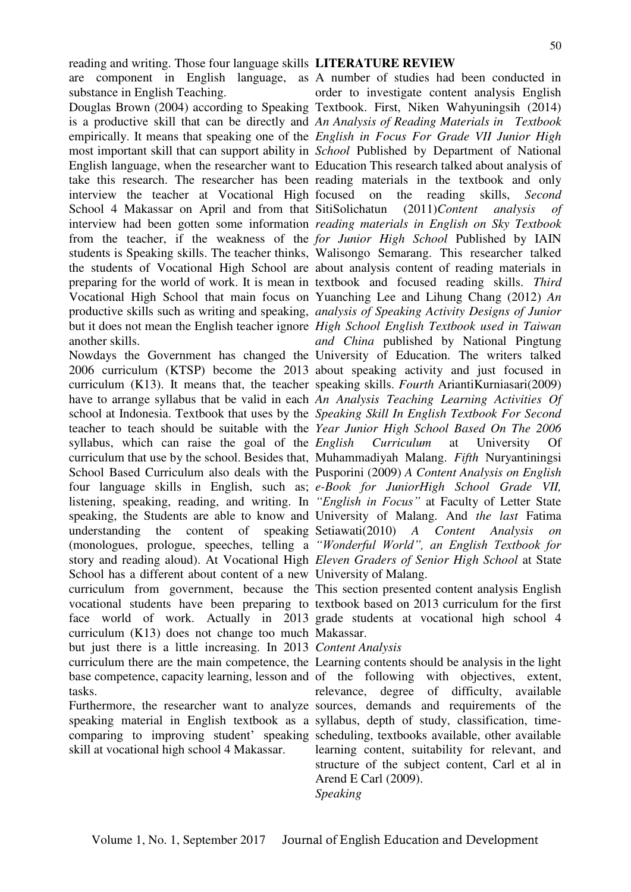reading and writing. Those four language skills **LITERATURE REVIEW**  substance in English Teaching.

another skills.

syllabus, which can raise the goal of the *English* School has a different about content of a new University of Malang. curriculum (K13) does not change too much Makassar. but just there is a little increasing. In 2013 *Content Analysis*  tasks.

skill at vocational high school 4 Makassar.

are component in English language, as A number of studies had been conducted in Douglas Brown (2004) according to Speaking Textbook. First, Niken Wahyuningsih (2014) is a productive skill that can be directly and *An Analysis of Reading Materials in Textbook*  empirically. It means that speaking one of the *English in Focus For Grade VII Junior High*  most important skill that can support ability in *School* Published by Department of National English language, when the researcher want to Education This research talked about analysis of take this research. The researcher has been reading materials in the textbook and only interview the teacher at Vocational High focused on the reading skills, *Second*  School 4 Makassar on April and from that SitiSolichatun (2011)*Content analysis of*  interview had been gotten some information *reading materials in English on Sky Textbook*  from the teacher, if the weakness of the *for Junior High School* Published by IAIN students is Speaking skills. The teacher thinks, Walisongo Semarang. This researcher talked the students of Vocational High School are about analysis content of reading materials in preparing for the world of work. It is mean in textbook and focused reading skills. *Third* Vocational High School that main focus on Yuanching Lee and Lihung Chang (2012) *An*  productive skills such as writing and speaking, *analysis of Speaking Activity Designs of Junior*  but it does not mean the English teacher ignore *High School English Textbook used in Taiwan*  Nowdays the Government has changed the University of Education. The writers talked 2006 curriculum (KTSP) become the 2013 about speaking activity and just focused in curriculum (K13). It means that, the teacher speaking skills. *Fourth* AriantiKurniasari(2009) have to arrange syllabus that be valid in each *An Analysis Teaching Learning Activities Of*  school at Indonesia. Textbook that uses by the *Speaking Skill In English Textbook For Second*  teacher to teach should be suitable with the *Year Junior High School Based On The 2006*  curriculum that use by the school. Besides that, Muhammadiyah Malang. *Fifth* Nuryantiningsi School Based Curriculum also deals with the Pusporini (2009) *A Content Analysis on English*  four language skills in English, such as; *e-Book for JuniorHigh School Grade VII,*  listening, speaking, reading, and writing. In "*English in Focus*" at Faculty of Letter State speaking, the Students are able to know and University of Malang. And *the last* Fatima understanding the content of speaking Setiawati(2010) *A Content Analysis on*  (monologues, prologue, speeches, telling a "Wonderful World", an English Textbook for story and reading aloud). At Vocational High *Eleven Graders of Senior High School* at State order to investigate content analysis English *and China* published by National Pingtung *English Curriculum* at University Of

curriculum from government, because the This section presented content analysis English vocational students have been preparing to textbook based on 2013 curriculum for the first face world of work. Actually in 2013 grade students at vocational high school 4

curriculum there are the main competence, the Learning contents should be analysis in the light base competence, capacity learning, lesson and of the following with objectives, extent, Furthermore, the researcher want to analyze sources, demands and requirements of the speaking material in English textbook as a syllabus, depth of study, classification, timecomparing to improving student' speaking scheduling, textbooks available, other available relevance, degree of difficulty, available learning content, suitability for relevant, and structure of the subject content, Carl et al in Arend E Carl (2009). *Speaking*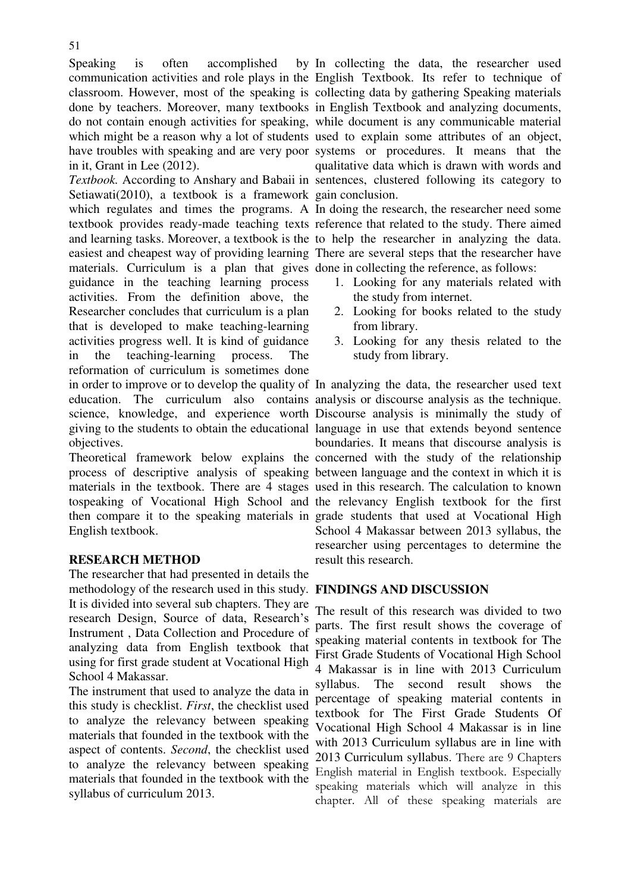Speaking is often accomplished in it, Grant in Lee (2012).

Setiawati(2010), a textbook is a framework gain conclusion. materials. Curriculum is a plan that gives done in collecting the reference, as follows: guidance in the teaching learning process activities. From the definition above, the Researcher concludes that curriculum is a plan that is developed to make teaching-learning activities progress well. It is kind of guidance in the teaching-learning process. The reformation of curriculum is sometimes done

objectives.

English textbook.

# **RESEARCH METHOD**

The researcher that had presented in details the methodology of the research used in this study. **FINDINGS AND DISCUSSION** It is divided into several sub chapters. They are research Design, Source of data, Research's Instrument , Data Collection and Procedure of analyzing data from English textbook that using for first grade student at Vocational High School 4 Makassar.

The instrument that used to analyze the data in this study is checklist. *First*, the checklist used to analyze the relevancy between speaking materials that founded in the textbook with the aspect of contents. *Second*, the checklist used to analyze the relevancy between speaking materials that founded in the textbook with the syllabus of curriculum 2013.

communication activities and role plays in the English Textbook. Its refer to technique of classroom. However, most of the speaking is collecting data by gathering Speaking materials done by teachers. Moreover, many textbooks in English Textbook and analyzing documents, do not contain enough activities for speaking, while document is any communicable material which might be a reason why a lot of students used to explain some attributes of an object, have troubles with speaking and are very poor systems or procedures. It means that the *Textbook.* According to Anshary and Babaii in sentences, clustered following its category to by In collecting the data, the researcher used qualitative data which is drawn with words and

which regulates and times the programs. A In doing the research, the researcher need some textbook provides ready-made teaching texts reference that related to the study. There aimed and learning tasks. Moreover, a textbook is the to help the researcher in analyzing the data. easiest and cheapest way of providing learning There are several steps that the researcher have

- 1. Looking for any materials related with the study from internet.
- 2. Looking for books related to the study from library.
- 3. Looking for any thesis related to the study from library.

in order to improve or to develop the quality of In analyzing the data, the researcher used text education. The curriculum also contains analysis or discourse analysis as the technique. science, knowledge, and experience worth Discourse analysis is minimally the study of giving to the students to obtain the educational language in use that extends beyond sentence Theoretical framework below explains the concerned with the study of the relationship process of descriptive analysis of speaking between language and the context in which it is materials in the textbook. There are 4 stages used in this research. The calculation to known tospeaking of Vocational High School and the relevancy English textbook for the first then compare it to the speaking materials in grade students that used at Vocational High boundaries. It means that discourse analysis is School 4 Makassar between 2013 syllabus, the researcher using percentages to determine the result this research.

The result of this research was divided to two parts. The first result shows the coverage of speaking material contents in textbook for The First Grade Students of Vocational High School 4 Makassar is in line with 2013 Curriculum syllabus. The second result shows the percentage of speaking material contents in textbook for The First Grade Students Of Vocational High School 4 Makassar is in line with 2013 Curriculum syllabus are in line with 2013 Curriculum syllabus. There are 9 Chapters English material in English textbook. Especially speaking materials which will analyze in this chapter. All of these speaking materials are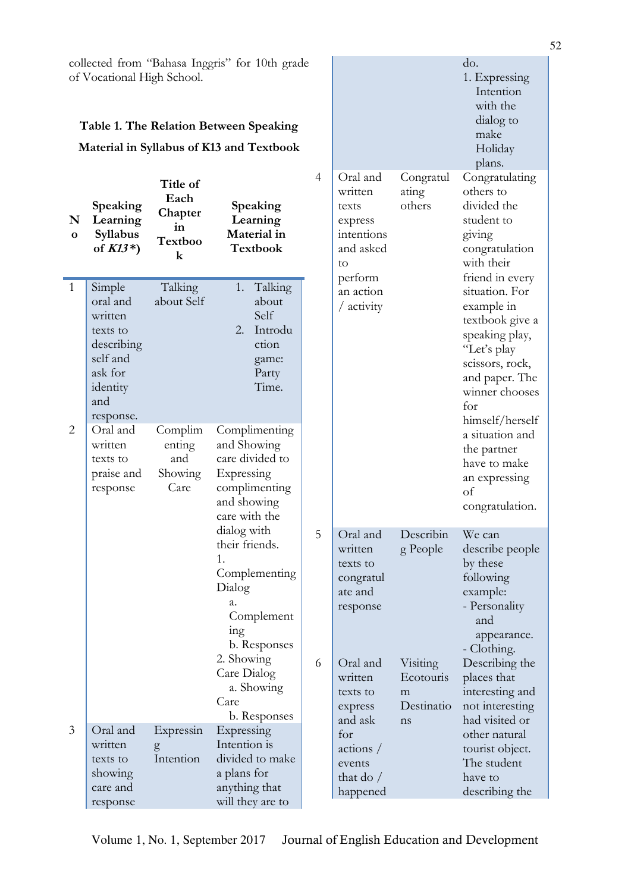collected from "Bahasa Inggris" for 10th grade of Vocational High School.

# **Table 1. The Relation Between Speaking Material in Syllabus of K13 and Textbook**

| N<br>$\mathbf{o}$ | Speaking<br>Learning<br>Syllabus<br>of $K13^*$ )                                                               | Title of<br>Each<br>Chapter<br>in<br>Textboo<br>$\bf k$ | Speaking<br>Learning<br>Material in<br><b>Textbook</b>                                                                                                                                                                                                                                         | $\overline{4}$ | Oral and<br>written<br>texts<br>express<br>intentions<br>and asked<br>to<br>perform                                                                                                   | Congratul<br>ating<br>others                                            | Congratulating<br>others to<br>divided the<br>student to<br>giving<br>congratulation<br>with their<br>friend in every<br>situation. For<br>example in<br>textbook give a<br>speaking play,<br>"Let's play<br>scissors, rock,<br>and paper. The<br>winner chooses<br>for<br>himself/herself<br>a situation and<br>the partner<br>have to make<br>an expressing<br>of<br>congratulation. |
|-------------------|----------------------------------------------------------------------------------------------------------------|---------------------------------------------------------|------------------------------------------------------------------------------------------------------------------------------------------------------------------------------------------------------------------------------------------------------------------------------------------------|----------------|---------------------------------------------------------------------------------------------------------------------------------------------------------------------------------------|-------------------------------------------------------------------------|----------------------------------------------------------------------------------------------------------------------------------------------------------------------------------------------------------------------------------------------------------------------------------------------------------------------------------------------------------------------------------------|
| $\mathbf{1}$      | Simple<br>oral and<br>written<br>texts to<br>describing<br>self and<br>ask for<br>identity<br>and<br>response. | Talking<br>about Self                                   | Talking<br>1.<br>about<br>Self<br>2.<br>Introdu<br>ction<br>game:<br>Party<br>Time.                                                                                                                                                                                                            |                | an action<br>/ activity                                                                                                                                                               |                                                                         |                                                                                                                                                                                                                                                                                                                                                                                        |
| $\overline{2}$    | Oral and<br>written<br>texts to<br>praise and<br>response                                                      | Complim<br>enting<br>and<br>Showing<br>Care             | Complimenting<br>and Showing<br>care divided to<br>Expressing<br>complimenting<br>and showing<br>care with the<br>dialog with<br>their friends.<br>1.<br>Complementing<br>Dialog<br>a.<br>Complement<br>ing<br>b. Responses<br>2. Showing<br>Care Dialog<br>a. Showing<br>Care<br>b. Responses |                |                                                                                                                                                                                       |                                                                         |                                                                                                                                                                                                                                                                                                                                                                                        |
|                   |                                                                                                                |                                                         |                                                                                                                                                                                                                                                                                                | 5<br>6         | Oral and<br>written<br>texts to<br>congratul<br>ate and<br>response<br>Oral and<br>written<br>texts to<br>express<br>and ask<br>for<br>actions /<br>events<br>that do $/$<br>happened | Describin<br>g People<br>Visiting<br>Ecotouris<br>m<br>Destinatio<br>ns | We can<br>describe people<br>by these<br>following<br>example:<br>- Personality<br>and<br>appearance.<br>- Clothing.<br>Describing the<br>places that<br>interesting and<br>not interesting<br>had visited or<br>other natural<br>tourist object.<br>The student<br>have to<br>describing the                                                                                          |
| 3                 | Oral and<br>written<br>texts to<br>showing<br>care and<br>response                                             | Expressin<br>g<br>Intention                             | Expressing<br>Intention is<br>divided to make<br>a plans for<br>anything that<br>will they are to                                                                                                                                                                                              |                |                                                                                                                                                                                       |                                                                         |                                                                                                                                                                                                                                                                                                                                                                                        |

do.

1. Expressing Intention with the dialog to make Holiday plans.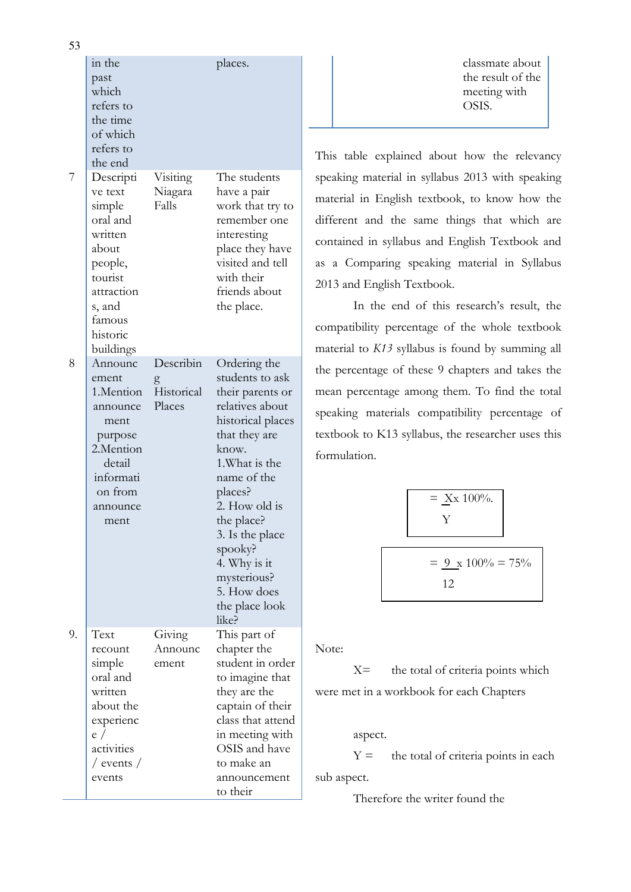classmate about the result of the meeting with OSIS.

This table explained about how the relevancy speaking material in syllabus 2013 with speaking material in English textbook, to know how the different and the same things that which are contained in syllabus and English Textbook and as a Comparing speaking material in Syllabus 2013 and English Textbook.

In the end of this research's result, the compatibility percentage of the whole textbook material to *K13* syllabus is found by summing all the percentage of these 9 chapters and takes the mean percentage among them. To find the total speaking materials compatibility percentage of textbook to K13 syllabus, the researcher uses this formulation.

$$
= \frac{\text{Xx } 100\%}{\text{Y}}
$$
  
=  $\frac{9 \text{ x } 100\%}{12} = 75\%$ 

Note:

to their

X= the total of criteria points which were met in a workbook for each Chapters

# aspect.

 $Y =$  the total of criteria points in each sub aspect.

Therefore the writer found the

|    | in the<br>past<br>which<br>refers to<br>the time<br>of which<br>refers to<br>the end                                                            |                                        | places.                                                                                                                                                                                                                                                                                                 |
|----|-------------------------------------------------------------------------------------------------------------------------------------------------|----------------------------------------|---------------------------------------------------------------------------------------------------------------------------------------------------------------------------------------------------------------------------------------------------------------------------------------------------------|
| 7  | Descripti<br>ve text<br>simple<br>oral and<br>written<br>about<br>people,<br>tourist<br>attraction<br>s, and<br>famous<br>historic<br>buildings | Visiting<br>Niagara<br>Falls           | The students<br>have a pair<br>work that try to<br>remember one<br>interesting<br>place they have<br>visited and tell<br>with their<br>friends about<br>the place.                                                                                                                                      |
| 8  | Announc<br>ement<br>1.Mention<br>announce<br>ment<br>purpose<br>2.Mention<br>detail<br>informati<br>on from<br>announce<br>ment                 | Describin<br>g<br>Historical<br>Places | Ordering the<br>students to ask<br>their parents or<br>relatives about<br>historical places<br>that they are<br>know.<br>1. What is the<br>name of the<br>places?<br>2. How old is<br>the place?<br>3. Is the place<br>spooky?<br>4. Why is it<br>mysterious?<br>5. How does<br>the place look<br>like? |
| 9. | Text<br>recount<br>simple<br>oral and<br>written<br>about the<br>experienc<br>e /<br>activities<br>/ events /<br>events                         | Giving<br>Announc<br>ement             | This part of<br>chapter the<br>student in order<br>to imagine that<br>they are the<br>captain of their<br>class that attend<br>in meeting with<br>OSIS and have<br>to make an<br>announcement                                                                                                           |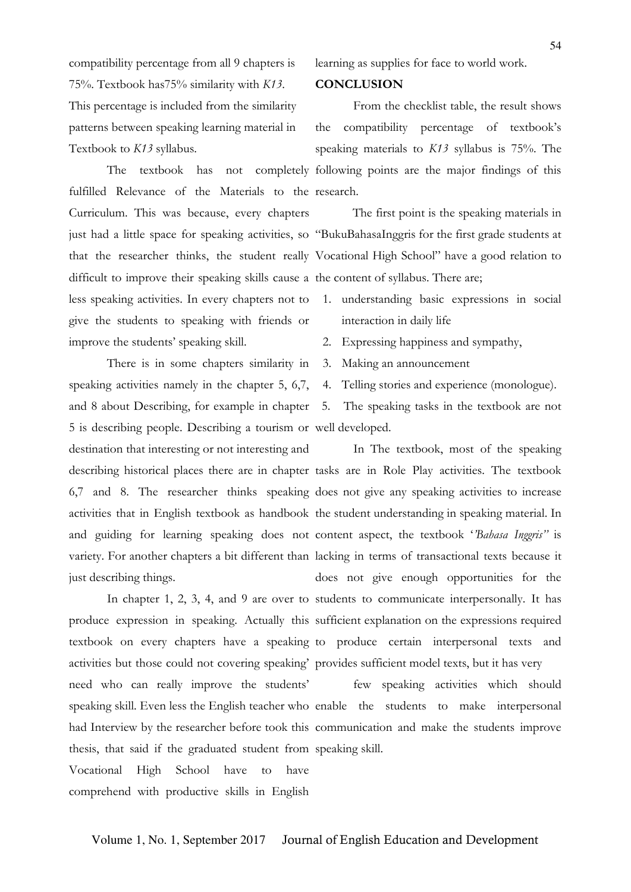compatibility percentage from all 9 chapters is 75%. Textbook has75% similarity with *K13*. This percentage is included from the similarity patterns between speaking learning material in Textbook to *K13* syllabus.

fulfilled Relevance of the Materials to the research. Curriculum. This was because, every chapters difficult to improve their speaking skills cause a the content of syllabus. There are; less speaking activities. In every chapters not to 1. understanding basic expressions in social give the students to speaking with friends or improve the students' speaking skill.

There is in some chapters similarity in speaking activities namely in the chapter 5, 6,7, 5 is describing people. Describing a tourism or well developed. destination that interesting or not interesting and just describing things.

activities but those could not covering speaking' provides sufficient model texts, but it has very need who can really improve the students' thesis, that said if the graduated student from speaking skill. Vocational High School have to have comprehend with productive skills in English

learning as supplies for face to world work.

### **CONCLUSION**

The textbook has not completely following points are the major findings of this From the checklist table, the result shows the compatibility percentage of textbook's speaking materials to *K13* syllabus is 75%. The

just had a little space for speaking activities, so "BukuBahasaInggris for the first grade students at that the researcher thinks, the student really Vocational High School" have a good relation to The first point is the speaking materials in

- interaction in daily life
- 2. Expressing happiness and sympathy,
- 3. Making an announcement
- 4. Telling stories and experience (monologue).

and 8 about Describing, for example in chapter 5. The speaking tasks in the textbook are not

describing historical places there are in chapter tasks are in Role Play activities. The textbook 6,7 and 8. The researcher thinks speaking does not give any speaking activities to increase activities that in English textbook as handbook the student understanding in speaking material. In and guiding for learning speaking does not content aspect, the textbook 'Bahasa Inggris" is variety. For another chapters a bit different than lacking in terms of transactional texts because it In chapter 1, 2, 3, 4, and 9 are over to students to communicate interpersonally. It has produce expression in speaking. Actually this sufficient explanation on the expressions required textbook on every chapters have a speaking to produce certain interpersonal texts and In The textbook, most of the speaking does not give enough opportunities for the

speaking skill. Even less the English teacher who enable the students to make interpersonal had Interview by the researcher before took this communication and make the students improve few speaking activities which should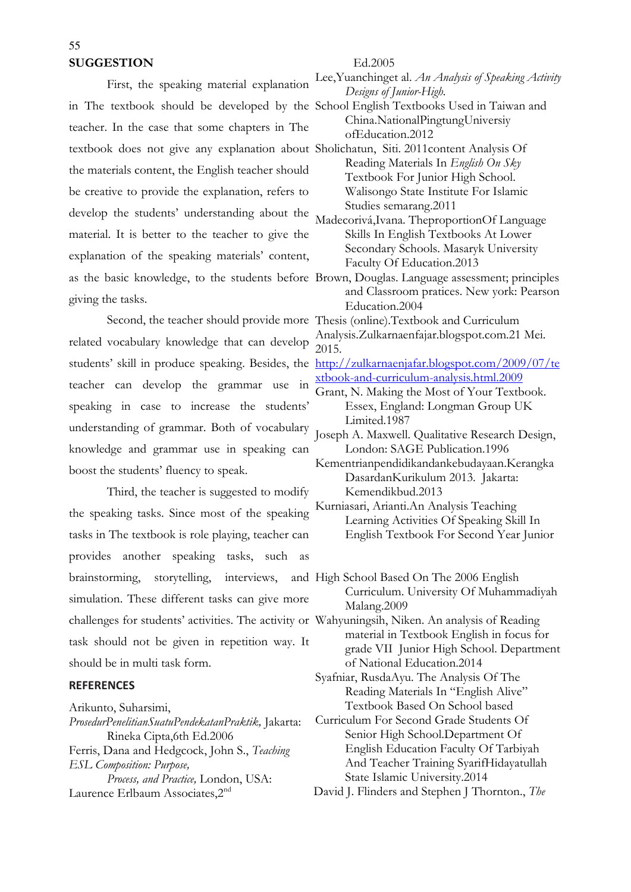# **SUGGESTION**

First, the speaking material explanation in The textbook should be developed by the School English Textbooks Used in Taiwan and teacher. In the case that some chapters in The textbook does not give any explanation about Sholichatun, Siti. 2011content Analysis Of the materials content, the English teacher should be creative to provide the explanation, refers to develop the students' understanding about the material. It is better to the teacher to give the explanation of the speaking materials' content, as the basic knowledge, to the students before Brown, Douglas. Language assessment; principles giving the tasks.

related vocabulary knowledge that can develop teacher can develop the grammar use in speaking in case to increase the students' understanding of grammar. Both of vocabulary knowledge and grammar use in speaking can boost the students' fluency to speak.

Third, the teacher is suggested to modify the speaking tasks. Since most of the speaking tasks in The textbook is role playing, teacher can provides another speaking tasks, such as brainstorming, storytelling, interviews, and High School Based On The 2006 English simulation. These different tasks can give more challenges for students' activities. The activity or Wahyuningsih, Niken. An analysis of Reading task should not be given in repetition way. It should be in multi task form.

### **REFERENCES**

Arikunto, Suharsimi,

*ProsedurPenelitianSuatuPendekatanPraktik,* Jakarta: Rineka Cipta,6th Ed.2006 Ferris, Dana and Hedgcock, John S., *Teaching ESL Composition: Purpose, Process, and Practice,* London, USA: Laurence Erlbaum Associates, 2<sup>nd</sup>

### Ed.2005

Lee,Yuanchinget al. *An Analysis of Speaking Activity Designs of Junior-High.*

China.NationalPingtungUniversiy ofEducation.2012

Reading Materials In *English On Sky*  Textbook For Junior High School. Walisongo State Institute For Islamic Studies semarang.2011

Madecorivá,Ivana. TheproportionOf Language Skills In English Textbooks At Lower Secondary Schools. Masaryk University Faculty Of Education.2013

and Classroom pratices. New york: Pearson Education.2004

Second, the teacher should provide more Thesis (online).Textbook and Curriculum Analysis.Zulkarnaenfajar.blogspot.com.21 Mei. 2015.

students' skill in produce speaking. Besides, the http://zulkarnaenjafar.blogspot.com/2009/07/te xtbook-and-curriculum-analysis.html.2009

- Grant, N. Making the Most of Your Textbook. Essex, England: Longman Group UK Limited.1987
- Joseph A. Maxwell. Qualitative Research Design, London: SAGE Publication.1996

Kementrianpendidikandankebudayaan.Kerangka DasardanKurikulum 2013. Jakarta: Kemendikbud.2013

Kurniasari, Arianti.An Analysis Teaching Learning Activities Of Speaking Skill In English Textbook For Second Year Junior

Curriculum. University Of Muhammadiyah Malang.2009

material in Textbook English in focus for grade VII Junior High School. Department of National Education.2014

Syafniar, RusdaAyu. The Analysis Of The Reading Materials In "English Alive" Textbook Based On School based

Curriculum For Second Grade Students Of Senior High School.Department Of English Education Faculty Of Tarbiyah And Teacher Training SyarifHidayatullah State Islamic University.2014

David J. Flinders and Stephen J Thornton., *The*